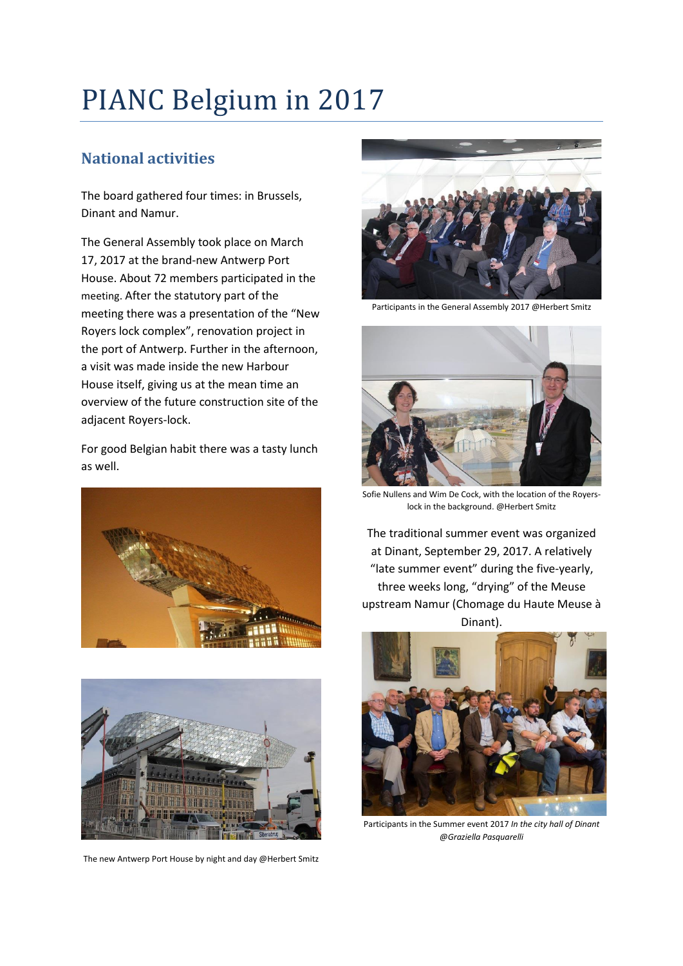# PIANC Belgium in 2017

## **National activities**

The board gathered four times: in Brussels, Dinant and Namur.

The General Assembly took place on March 17, 2017 at the brand-new Antwerp Port House. About 72 members participated in the meeting. After the statutory part of the meeting there was a presentation of the "New Royers lock complex", renovation project in the port of Antwerp. Further in the afternoon, a visit was made inside the new Harbour House itself, giving us at the mean time an overview of the future construction site of the adjacent Royers-lock.

For good Belgian habit there was a tasty lunch as well.





The new Antwerp Port House by night and day @Herbert Smitz



Participants in the General Assembly 2017 @Herbert Smitz



Sofie Nullens and Wim De Cock, with the location of the Royerslock in the background. @Herbert Smitz

The traditional summer event was organized at Dinant, September 29, 2017. A relatively "late summer event" during the five-yearly, three weeks long, "drying" of the Meuse upstream Namur (Chomage du Haute Meuse à Dinant).



Participants in the Summer event 2017 *In the city hall of Dinant @Graziella Pasquarelli*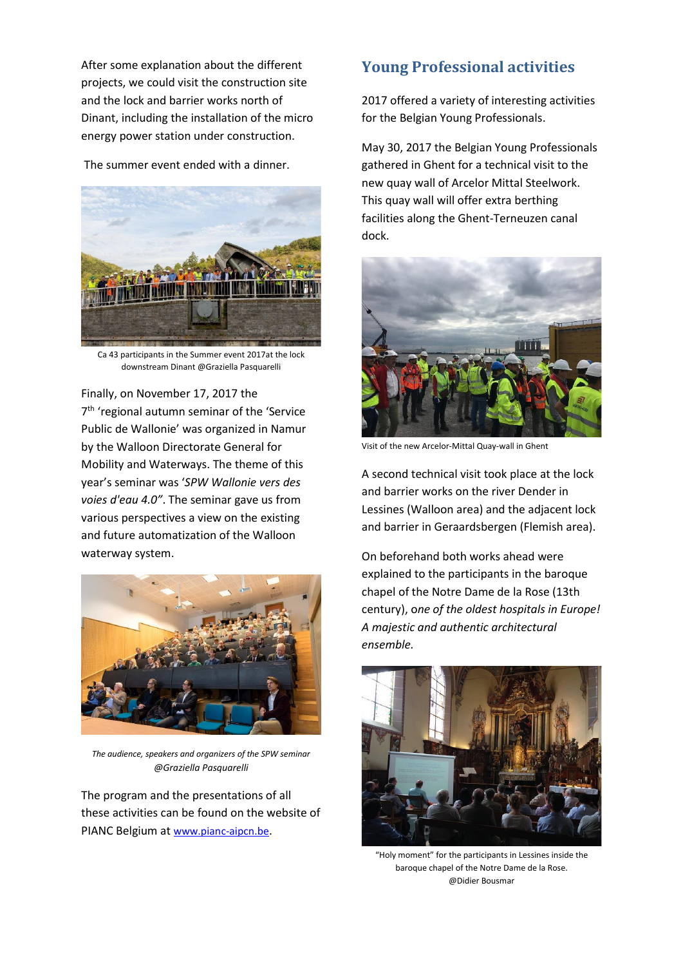After some explanation about the different projects, we could visit the construction site and the lock and barrier works north of Dinant, including the installation of the micro energy power station under construction.

The summer event ended with a dinner.



Ca 43 participants in the Summer event 2017at the lock downstream Dinant @Graziella Pasquarelli

Finally, on November 17, 2017 the 7 th 'regional autumn seminar of the 'Service Public de Wallonie' was organized in Namur by the Walloon Directorate General for Mobility and Waterways. The theme of this year's seminar was '*SPW Wallonie vers des voies d'eau 4.0"*. The seminar gave us from various perspectives a view on the existing and future automatization of the Walloon waterway system.



*The audience, speakers and organizers of the SPW seminar @Graziella Pasquarelli*

The program and the presentations of all these activities can be found on the website of PIANC Belgium at [www.pianc-aipcn.be](http://www.pianc-aipcn.be/).

### **Young Professional activities**

2017 offered a variety of interesting activities for the Belgian Young Professionals.

May 30, 2017 the Belgian Young Professionals gathered in Ghent for a technical visit to the new quay wall of Arcelor Mittal Steelwork. This quay wall will offer extra berthing facilities along the Ghent-Terneuzen canal dock.



Visit of the new Arcelor-Mittal Quay-wall in Ghent

A second technical visit took place at the lock and barrier works on the river Dender in Lessines (Walloon area) and the adjacent lock and barrier in Geraardsbergen (Flemish area).

On beforehand both works ahead were explained to the participants in the baroque chapel of the Notre Dame de la Rose (13th century), o*ne of the oldest hospitals in Europe! A majestic and authentic architectural ensemble.* 



"Holy moment" for the participants in Lessines inside the baroque chapel of the Notre Dame de la Rose. @Didier Bousmar